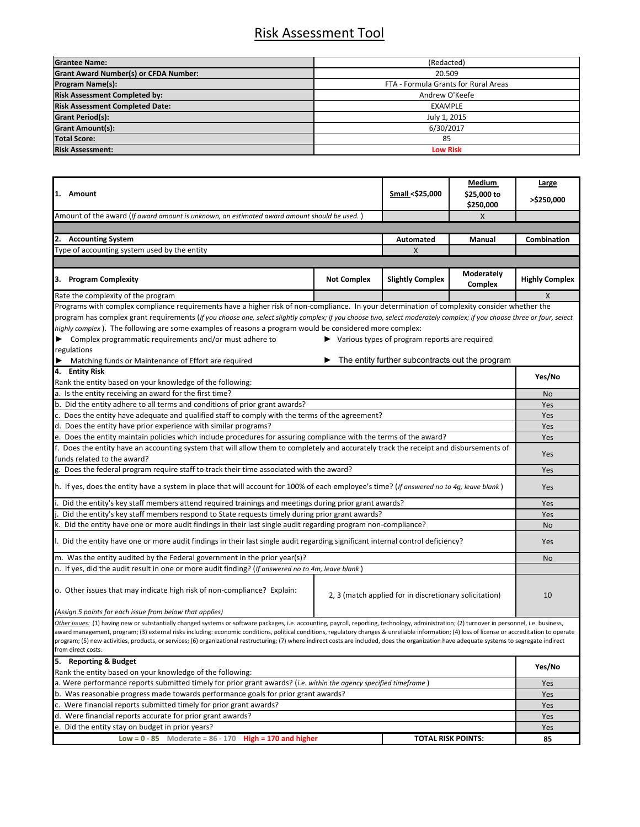## Risk Assessment Tool

| <b>Grantee Name:</b>                         | (Redacted)                           |  |  |
|----------------------------------------------|--------------------------------------|--|--|
| <b>Grant Award Number(s) or CFDA Number:</b> | 20.509                               |  |  |
| <b>Program Name(s):</b>                      | FTA - Formula Grants for Rural Areas |  |  |
| <b>Risk Assessment Completed by:</b>         | Andrew O'Keefe                       |  |  |
| <b>Risk Assessment Completed Date:</b>       | <b>EXAMPLE</b>                       |  |  |
| <b>Grant Period(s):</b>                      | July 1, 2015                         |  |  |
| <b>Grant Amount(s):</b>                      | 6/30/2017                            |  |  |
| <b>Total Score:</b>                          | 85                                   |  |  |
| <b>Risk Assessment:</b>                      | <b>Low Risk</b>                      |  |  |

| 1. Amount                                                                                                                                                                                                                                                                                                                                                                                                                                                                                                                                                                                                                  |                    |                                                                       | Medium         | <b>Large</b>          |
|----------------------------------------------------------------------------------------------------------------------------------------------------------------------------------------------------------------------------------------------------------------------------------------------------------------------------------------------------------------------------------------------------------------------------------------------------------------------------------------------------------------------------------------------------------------------------------------------------------------------------|--------------------|-----------------------------------------------------------------------|----------------|-----------------------|
|                                                                                                                                                                                                                                                                                                                                                                                                                                                                                                                                                                                                                            |                    | Small <\$25,000                                                       | \$25,000 to    | >\$250,000            |
| Amount of the award (If award amount is unknown, an estimated award amount should be used.                                                                                                                                                                                                                                                                                                                                                                                                                                                                                                                                 |                    |                                                                       | \$250,000<br>X |                       |
|                                                                                                                                                                                                                                                                                                                                                                                                                                                                                                                                                                                                                            |                    |                                                                       |                |                       |
| 2. Accounting System<br><b>Automated</b>                                                                                                                                                                                                                                                                                                                                                                                                                                                                                                                                                                                   |                    |                                                                       | Manual         | Combination           |
| Type of accounting system used by the entity                                                                                                                                                                                                                                                                                                                                                                                                                                                                                                                                                                               |                    | X                                                                     |                |                       |
|                                                                                                                                                                                                                                                                                                                                                                                                                                                                                                                                                                                                                            |                    |                                                                       |                |                       |
|                                                                                                                                                                                                                                                                                                                                                                                                                                                                                                                                                                                                                            |                    |                                                                       | Moderately     |                       |
| 3. Program Complexity                                                                                                                                                                                                                                                                                                                                                                                                                                                                                                                                                                                                      | <b>Not Complex</b> | <b>Slightly Complex</b>                                               | Complex        | <b>Highly Complex</b> |
| Rate the complexity of the program                                                                                                                                                                                                                                                                                                                                                                                                                                                                                                                                                                                         |                    |                                                                       |                | X                     |
| Programs with complex compliance requirements have a higher risk of non-compliance. In your determination of complexity consider whether the                                                                                                                                                                                                                                                                                                                                                                                                                                                                               |                    |                                                                       |                |                       |
| program has complex grant requirements (If you choose one, select slightly complex; if you choose two, select moderately complex; if you choose three or four, select                                                                                                                                                                                                                                                                                                                                                                                                                                                      |                    |                                                                       |                |                       |
| highly complex). The following are some examples of reasons a program would be considered more complex:                                                                                                                                                                                                                                                                                                                                                                                                                                                                                                                    |                    |                                                                       |                |                       |
| ▶ Complex programmatic requirements and/or must adhere to                                                                                                                                                                                                                                                                                                                                                                                                                                                                                                                                                                  |                    | $\blacktriangleright$ Various types of program reports are required   |                |                       |
| regulations                                                                                                                                                                                                                                                                                                                                                                                                                                                                                                                                                                                                                |                    |                                                                       |                |                       |
| Matching funds or Maintenance of Effort are required                                                                                                                                                                                                                                                                                                                                                                                                                                                                                                                                                                       |                    | $\blacktriangleright$ The entity further subcontracts out the program |                |                       |
| 4. Entity Risk                                                                                                                                                                                                                                                                                                                                                                                                                                                                                                                                                                                                             |                    |                                                                       |                | Yes/No                |
| Rank the entity based on your knowledge of the following:                                                                                                                                                                                                                                                                                                                                                                                                                                                                                                                                                                  |                    |                                                                       |                |                       |
| a. Is the entity receiving an award for the first time?                                                                                                                                                                                                                                                                                                                                                                                                                                                                                                                                                                    |                    |                                                                       |                |                       |
| b. Did the entity adhere to all terms and conditions of prior grant awards?                                                                                                                                                                                                                                                                                                                                                                                                                                                                                                                                                |                    |                                                                       |                |                       |
| c. Does the entity have adequate and qualified staff to comply with the terms of the agreement?                                                                                                                                                                                                                                                                                                                                                                                                                                                                                                                            |                    |                                                                       |                |                       |
| d. Does the entity have prior experience with similar programs?                                                                                                                                                                                                                                                                                                                                                                                                                                                                                                                                                            |                    |                                                                       |                |                       |
| e. Does the entity maintain policies which include procedures for assuring compliance with the terms of the award?                                                                                                                                                                                                                                                                                                                                                                                                                                                                                                         |                    |                                                                       |                |                       |
| f. Does the entity have an accounting system that will allow them to completely and accurately track the receipt and disbursements of                                                                                                                                                                                                                                                                                                                                                                                                                                                                                      |                    |                                                                       |                |                       |
| funds related to the award?                                                                                                                                                                                                                                                                                                                                                                                                                                                                                                                                                                                                |                    |                                                                       |                |                       |
| g. Does the federal program require staff to track their time associated with the award?                                                                                                                                                                                                                                                                                                                                                                                                                                                                                                                                   |                    |                                                                       |                |                       |
| h. If yes, does the entity have a system in place that will account for 100% of each employee's time? (If answered no to 4g, leave blank)                                                                                                                                                                                                                                                                                                                                                                                                                                                                                  |                    |                                                                       |                |                       |
| Did the entity's key staff members attend required trainings and meetings during prior grant awards?                                                                                                                                                                                                                                                                                                                                                                                                                                                                                                                       |                    |                                                                       |                |                       |
| Did the entity's key staff members respond to State requests timely during prior grant awards?                                                                                                                                                                                                                                                                                                                                                                                                                                                                                                                             |                    |                                                                       |                |                       |
| k. Did the entity have one or more audit findings in their last single audit regarding program non-compliance?                                                                                                                                                                                                                                                                                                                                                                                                                                                                                                             |                    |                                                                       |                |                       |
| l. Did the entity have one or more audit findings in their last single audit regarding significant internal control deficiency?                                                                                                                                                                                                                                                                                                                                                                                                                                                                                            |                    |                                                                       |                | No<br>Yes             |
| m. Was the entity audited by the Federal government in the prior year(s)?                                                                                                                                                                                                                                                                                                                                                                                                                                                                                                                                                  |                    |                                                                       |                |                       |
| n. If yes, did the audit result in one or more audit finding? ( <i>If answered no to 4m, leave blank</i> )                                                                                                                                                                                                                                                                                                                                                                                                                                                                                                                 |                    |                                                                       |                |                       |
|                                                                                                                                                                                                                                                                                                                                                                                                                                                                                                                                                                                                                            |                    |                                                                       |                |                       |
| o. Other issues that may indicate high risk of non-compliance? Explain:                                                                                                                                                                                                                                                                                                                                                                                                                                                                                                                                                    |                    | 2, 3 (match applied for in discretionary solicitation)                |                | 10                    |
| (Assign 5 points for each issue from below that applies)                                                                                                                                                                                                                                                                                                                                                                                                                                                                                                                                                                   |                    |                                                                       |                |                       |
| Other issues: (1) having new or substantially changed systems or software packages, i.e. accounting, payroll, reporting, technology, administration; (2) turnover in personnel, i.e. business,<br>award management, program; (3) external risks including: economic conditions, political conditions, regulatory changes & unreliable information; (4) loss of license or accreditation to operate<br>program; (5) new activities, products, or services; (6) organizational restructuring; (7) where indirect costs are included, does the organization have adequate systems to segregate indirect<br>from direct costs. |                    |                                                                       |                |                       |
| 5. Reporting & Budget                                                                                                                                                                                                                                                                                                                                                                                                                                                                                                                                                                                                      |                    |                                                                       |                |                       |
| Rank the entity based on your knowledge of the following:                                                                                                                                                                                                                                                                                                                                                                                                                                                                                                                                                                  |                    |                                                                       |                | Yes/No                |
| a. Were performance reports submitted timely for prior grant awards? (i.e. within the agency specified timeframe)                                                                                                                                                                                                                                                                                                                                                                                                                                                                                                          |                    |                                                                       |                | Yes                   |
| b. Was reasonable progress made towards performance goals for prior grant awards?                                                                                                                                                                                                                                                                                                                                                                                                                                                                                                                                          |                    |                                                                       |                | Yes                   |
| c. Were financial reports submitted timely for prior grant awards?                                                                                                                                                                                                                                                                                                                                                                                                                                                                                                                                                         |                    |                                                                       |                | Yes                   |
| d. Were financial reports accurate for prior grant awards?                                                                                                                                                                                                                                                                                                                                                                                                                                                                                                                                                                 |                    |                                                                       |                | Yes                   |
| e. Did the entity stay on budget in prior years?                                                                                                                                                                                                                                                                                                                                                                                                                                                                                                                                                                           |                    |                                                                       |                | Yes                   |
| Low = $0 - 85$ Moderate = $86 - 170$ High = 170 and higher                                                                                                                                                                                                                                                                                                                                                                                                                                                                                                                                                                 |                    | <b>TOTAL RISK POINTS:</b>                                             |                | 85                    |